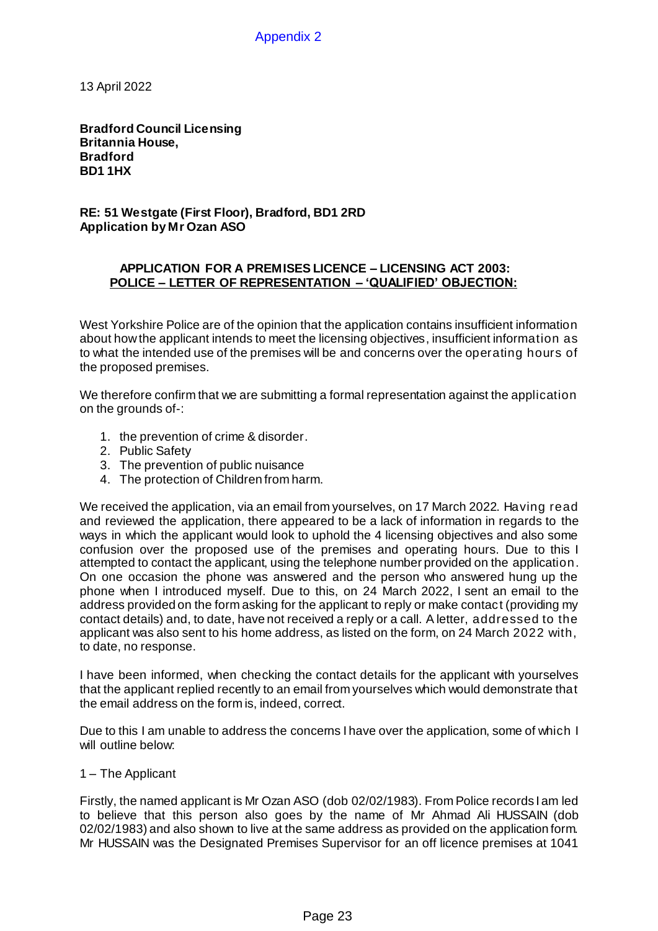Appendix 2

13 April 2022

**Bradford Council Licensing Britannia House, Bradford BD1 1HX**

**RE: 51 Westgate (First Floor), Bradford, BD1 2RD Application by Mr Ozan ASO**

## **APPLICATION FOR A PREMISES LICENCE – LICENSING ACT 2003: POLICE – LETTER OF REPRESENTATION – 'QUALIFIED' OBJECTION:**

West Yorkshire Police are of the opinion that the application contains insufficient information about how the applicant intends to meet the licensing objectives, insufficient information as to what the intended use of the premises will be and concerns over the operating hours of the proposed premises.

We therefore confirm that we are submitting a formal representation against the application on the grounds of-:

- 1. the prevention of crime & disorder.
- 2. Public Safety
- 3. The prevention of public nuisance
- 4. The protection of Children from harm.

We received the application, via an email from yourselves, on 17 March 2022. Having read and reviewed the application, there appeared to be a lack of information in regards to the ways in which the applicant would look to uphold the 4 licensing objectives and also some confusion over the proposed use of the premises and operating hours. Due to this I attempted to contact the applicant, using the telephone number provided on the application. On one occasion the phone was answered and the person who answered hung up the phone when I introduced myself. Due to this, on 24 March 2022, I sent an email to the address provided on the form asking for the applicant to reply or make contact (providing my contact details) and, to date, have not received a reply or a call. A letter, addressed to the applicant was also sent to his home address, as listed on the form, on 24 March 2022 with, to date, no response.

I have been informed, when checking the contact details for the applicant with yourselves that the applicant replied recently to an email from yourselves which would demonstrate that the email address on the form is, indeed, correct.

Due to this I am unable to address the concerns I have over the application, some of which I will outline below:

1 – The Applicant

Firstly, the named applicant is Mr Ozan ASO (dob 02/02/1983). From Police records I am led to believe that this person also goes by the name of Mr Ahmad Ali HUSSAIN (dob 02/02/1983) and also shown to live at the same address as provided on the application form. Mr HUSSAIN was the Designated Premises Supervisor for an off licence premises at 1041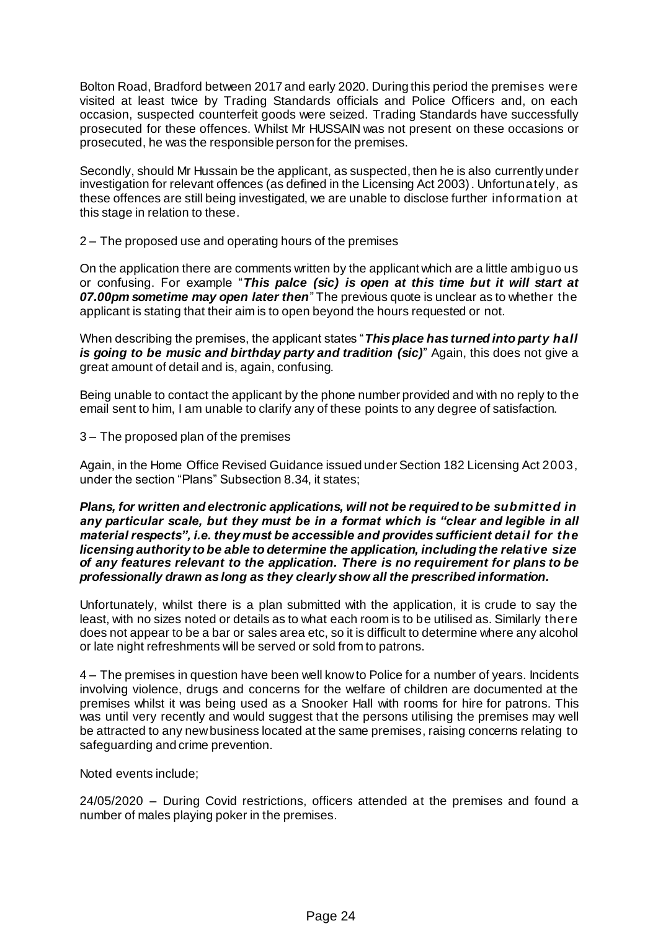Bolton Road, Bradford between 2017 and early 2020. During this period the premises were visited at least twice by Trading Standards officials and Police Officers and, on each occasion, suspected counterfeit goods were seized. Trading Standards have successfully prosecuted for these offences. Whilst Mr HUSSAIN was not present on these occasions or prosecuted, he was the responsible person for the premises.

Secondly, should Mr Hussain be the applicant, as suspected, then he is also currently under investigation for relevant offences (as defined in the Licensing Act 2003). Unfortunately, as these offences are still being investigated, we are unable to disclose further information at this stage in relation to these.

2 – The proposed use and operating hours of the premises

On the application there are comments written by the applicant which are a little ambiguo us or confusing. For example "*This palce (sic) is open at this time but it will start at 07.00pm sometime may open later then*" The previous quote is unclear as to whether the applicant is stating that their aim is to open beyond the hours requested or not.

When describing the premises, the applicant states "*This place has turned into party hall is going to be music and birthday party and tradition (sic)*" Again, this does not give a great amount of detail and is, again, confusing.

Being unable to contact the applicant by the phone number provided and with no reply to the email sent to him, I am unable to clarify any of these points to any degree of satisfaction.

3 – The proposed plan of the premises

Again, in the Home Office Revised Guidance issued under Section 182 Licensing Act 2003, under the section "Plans" Subsection 8.34, it states;

## *Plans, for written and electronic applications, will not be required to be submitted in any particular scale, but they must be in a format which is "clear and legible in all material respects", i.e. they must be accessible and provides sufficient detail for the licensing authority to be able to determine the application, including the relative size of any features relevant to the application. There is no requirement for plans to be professionally drawn as long as they clearly show all the prescribed information.*

Unfortunately, whilst there is a plan submitted with the application, it is crude to say the least, with no sizes noted or details as to what each room is to be utilised as. Similarly there does not appear to be a bar or sales area etc, so it is difficult to determine where any alcohol or late night refreshments will be served or sold from to patrons.

4 – The premises in question have been well know to Police for a number of years. Incidents involving violence, drugs and concerns for the welfare of children are documented at the premises whilst it was being used as a Snooker Hall with rooms for hire for patrons. This was until very recently and would suggest that the persons utilising the premises may well be attracted to any new business located at the same premises, raising concerns relating to safeguarding and crime prevention.

Noted events include;

24/05/2020 – During Covid restrictions, officers attended at the premises and found a number of males playing poker in the premises.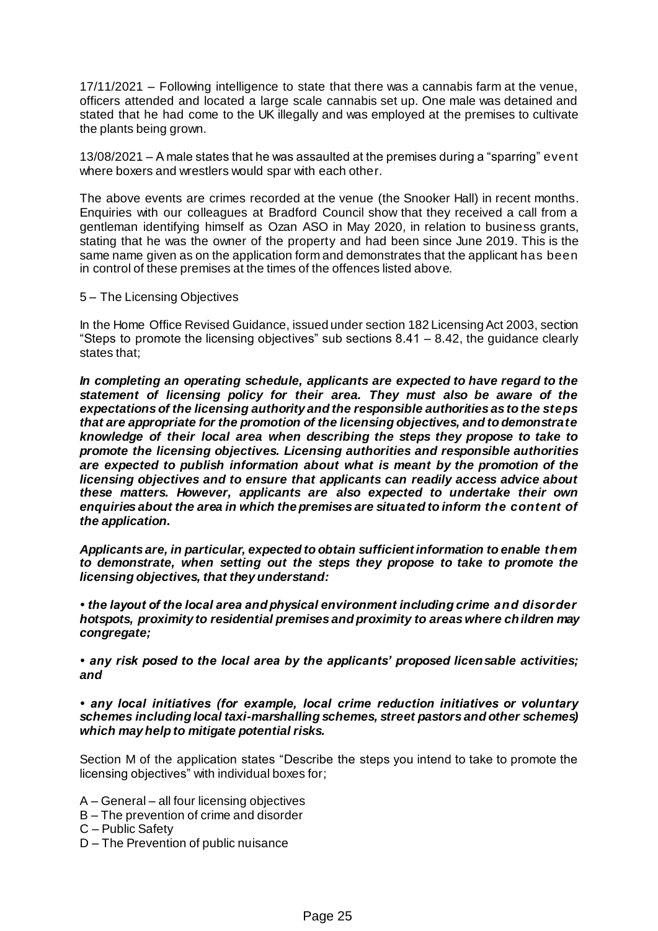17/11/2021 – Following intelligence to state that there was a cannabis farm at the venue, officers attended and located a large scale cannabis set up. One male was detained and stated that he had come to the UK illegally and was employed at the premises to cultivate the plants being grown.

13/08/2021 – A male states that he was assaulted at the premises during a "sparring" event where boxers and wrestlers would spar with each other.

The above events are crimes recorded at the venue (the Snooker Hall) in recent months. Enquiries with our colleagues at Bradford Council show that they received a call from a gentleman identifying himself as Ozan ASO in May 2020, in relation to business grants, stating that he was the owner of the property and had been since June 2019. This is the same name given as on the application form and demonstrates that the applicant has been in control of these premises at the times of the offences listed above.

## 5 – The Licensing Objectives

In the Home Office Revised Guidance, issued under section 182 Licensing Act 2003, section "Steps to promote the licensing objectives" sub sections  $8.41 - 8.42$ , the quidance clearly states that;

*In completing an operating schedule, applicants are expected to have regard to the statement of licensing policy for their area. They must also be aware of the expectations of the licensing authority and the responsible authorities as to the steps that are appropriate for the promotion of the licensing objectives, and to demonstrate knowledge of their local area when describing the steps they propose to take to promote the licensing objectives. Licensing authorities and responsible authorities are expected to publish information about what is meant by the promotion of the licensing objectives and to ensure that applicants can readily access advice about these matters. However, applicants are also expected to undertake their own enquiries about the area in which the premises are situated to inform the content of the application.*

*Applicants are, in particular, expected to obtain sufficient information to enable them to demonstrate, when setting out the steps they propose to take to promote the licensing objectives, that they understand:*

*• the layout of the local area and physical environment including crime and disorder hotspots, proximity to residential premises and proximity to areas where children may congregate;* 

*• any risk posed to the local area by the applicants' proposed licensable activities; and* 

*• any local initiatives (for example, local crime reduction initiatives or voluntary schemes including local taxi-marshalling schemes, street pastors and other schemes) which may help to mitigate potential risks.*

Section M of the application states "Describe the steps you intend to take to promote the licensing objectives" with individual boxes for;

A – General – all four licensing objectives

B – The prevention of crime and disorder

C – Public Safety

D – The Prevention of public nuisance